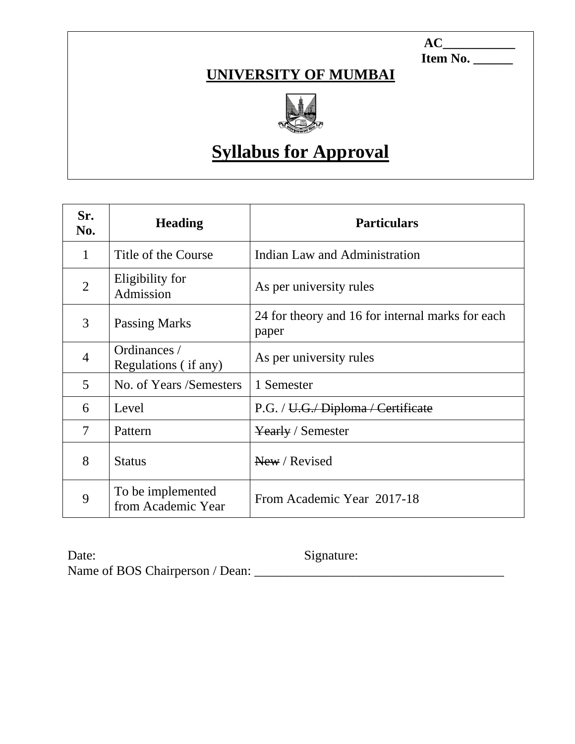1 **AC\_\_\_\_\_\_\_\_\_\_\_ Item No. \_\_\_\_\_\_**

## **UNIVERSITY OF MUMBAI**



# **Syllabus for Approval**

| Sr.<br>No.     | <b>Heading</b>                          | <b>Particulars</b>                                        |
|----------------|-----------------------------------------|-----------------------------------------------------------|
| 1              | Title of the Course                     | Indian Law and Administration                             |
| $\overline{2}$ | Eligibility for<br>Admission            | As per university rules                                   |
| 3              | <b>Passing Marks</b>                    | 24 for theory and 16 for internal marks for each<br>paper |
| 4              | Ordinances /<br>Regulations (if any)    | As per university rules                                   |
| 5              | No. of Years /Semesters                 | 1 Semester                                                |
| 6              | Level                                   | P.G. / U.G. Diploma / Certificate                         |
| 7              | Pattern                                 | Yearly / Semester                                         |
| 8              | <b>Status</b>                           | New / Revised                                             |
| 9              | To be implemented<br>from Academic Year | From Academic Year 2017-18                                |

Date: Signature: Name of BOS Chairperson / Dean: \_\_\_\_\_\_\_\_\_\_\_\_\_\_\_\_\_\_\_\_\_\_\_\_\_\_\_\_\_\_\_\_\_\_\_\_\_\_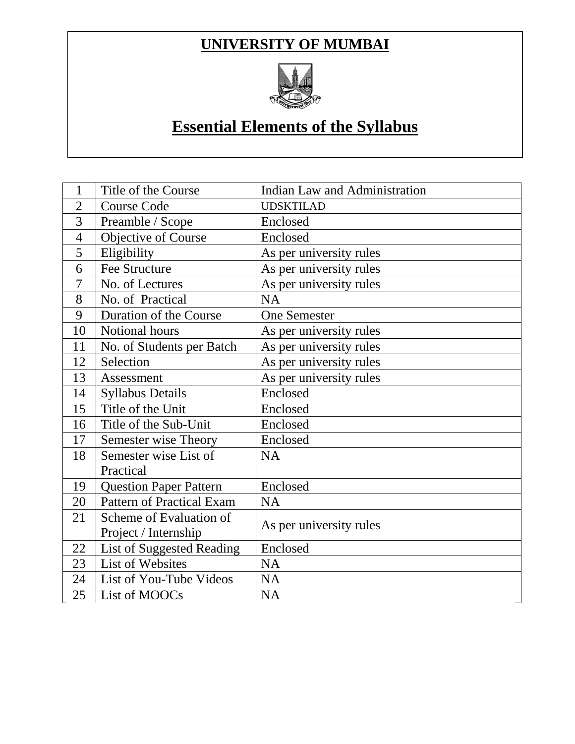### **UNIVERSITY OF MUMBAI**



# **Essential Elements of the Syllabus**

| 1              | Title of the Course              | <b>Indian Law and Administration</b> |
|----------------|----------------------------------|--------------------------------------|
| $\overline{2}$ | <b>Course Code</b>               | <b>UDSKTILAD</b>                     |
| 3              | Preamble / Scope                 | Enclosed                             |
| $\overline{4}$ | Objective of Course              | Enclosed                             |
| 5              | Eligibility                      | As per university rules              |
| 6              | <b>Fee Structure</b>             | As per university rules              |
| 7              | No. of Lectures                  | As per university rules              |
| 8              | No. of Practical                 | <b>NA</b>                            |
| 9              | Duration of the Course           | <b>One Semester</b>                  |
| 10             | Notional hours                   | As per university rules              |
| 11             | No. of Students per Batch        | As per university rules              |
| 12             | Selection                        | As per university rules              |
| 13             | Assessment                       | As per university rules              |
| 14             | <b>Syllabus Details</b>          | Enclosed                             |
| 15             | Title of the Unit                | Enclosed                             |
| 16             | Title of the Sub-Unit            | Enclosed                             |
| 17             | Semester wise Theory             | Enclosed                             |
| 18             | Semester wise List of            | NA                                   |
|                | Practical                        |                                      |
| 19             | <b>Question Paper Pattern</b>    | Enclosed                             |
| 20             | <b>Pattern of Practical Exam</b> | <b>NA</b>                            |
| 21             | Scheme of Evaluation of          |                                      |
|                | Project / Internship             | As per university rules              |
| 22             | List of Suggested Reading        | Enclosed                             |
| 23             | List of Websites                 | <b>NA</b>                            |
| 24             | List of You-Tube Videos          | <b>NA</b>                            |
| 25             | List of MOOCs                    | <b>NA</b>                            |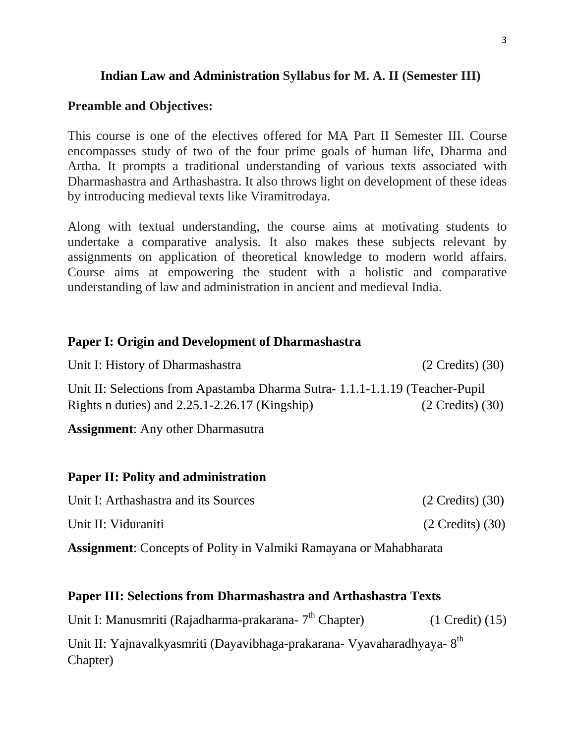#### **Indian Law and Administration Syllabus for M. A. II (Semester III)**

#### **Preamble and Objectives:**

This course is one of the electives offered for MA Part II Semester III. Course encompasses study of two of the four prime goals of human life, Dharma and Artha. It prompts a traditional understanding of various texts associated with Dharmashastra and Arthashastra. It also throws light on development of these ideas by introducing medieval texts like Viramitrodaya.

Along with textual understanding, the course aims at motivating students to undertake a comparative analysis. It also makes these subjects relevant by assignments on application of theoretical knowledge to modern world affairs. Course aims at empowering the student with a holistic and comparative understanding of law and administration in ancient and medieval India.

#### **Paper I: Origin and Development of Dharmashastra**

Unit I: History of Dharmashastra (2 Credits) (30) Unit II: Selections from Apastamba Dharma Sutra- 1.1.1-1.1.19 (Teacher-Pupil Rights n duties) and 2.25.1-2.26.17 (Kingship) (2 Credits) (30)

**Assignment**: Any other Dharmasutra

#### **Paper II: Polity and administration**

| Unit I: Arthashastra and its Sources | $(2 \text{ Credits})$ $(30)$ |
|--------------------------------------|------------------------------|
| Unit II: Viduraniti                  | $(2 \text{ Credits}) (30)$   |

**Assignment**: Concepts of Polity in Valmiki Ramayana or Mahabharata

#### **Paper III: Selections from Dharmashastra and Arthashastra Texts**

| Unit I: Manusmriti (Rajadharma-prakarana-7 <sup>th</sup> Chapter)                  | $(1$ Credit $)$ $(15)$ |
|------------------------------------------------------------------------------------|------------------------|
| Unit II: Yajnavalkyasmriti (Dayavibhaga-prakarana- Vyavaharadhyaya-8 <sup>th</sup> |                        |
| Chapter)                                                                           |                        |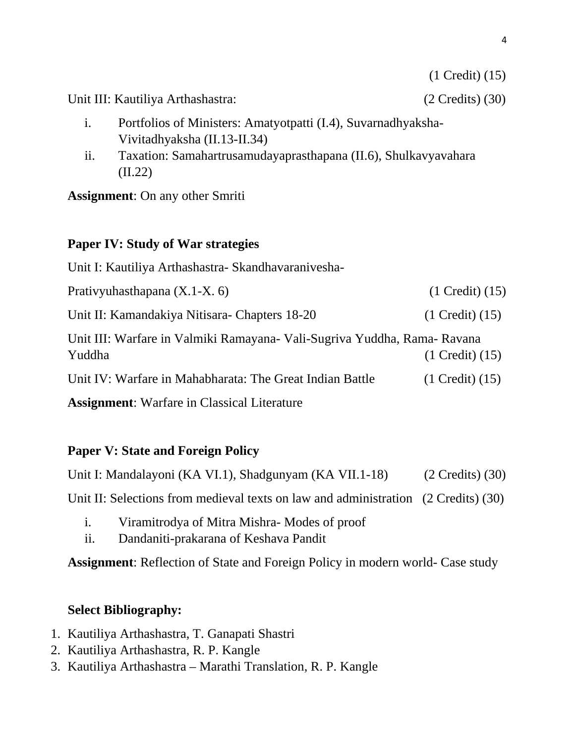Unit III: Kautiliya Arthashastra: (2 Credits) (30)

- i. Portfolios of Ministers: Amatyotpatti (I.4), Suvarnadhyaksha-Vivitadhyaksha (II.13-II.34)
- ii. Taxation: Samahartrusamudayaprasthapana (II.6), Shulkavyavahara (II.22)

**Assignment**: On any other Smriti

#### **Paper IV: Study of War strategies**

Unit I: Kautiliya Arthashastra- Skandhavaranivesha-Prativyuhasthapana (X.1-X. 6) (1 Credit) (15) Unit II: Kamandakiya Nitisara- Chapters 18-20 (1 Credit) (15) Unit III: Warfare in Valmiki Ramayana- Vali-Sugriva Yuddha, Rama- Ravana Yuddha (1 Credit) (15) Unit IV: Warfare in Mahabharata: The Great Indian Battle (1 Credit) (15) **Assignment**: Warfare in Classical Literature

#### **Paper V: State and Foreign Policy**

| Unit I: Mandalayoni (KA VI.1), Shadgunyam (KA VII.1-18)                            | $(2$ Credits) $(30)$ |
|------------------------------------------------------------------------------------|----------------------|
| Unit II: Selections from medieval texts on law and administration (2 Credits) (30) |                      |

- i. Viramitrodya of Mitra Mishra- Modes of proof
- ii. Dandaniti-prakarana of Keshava Pandit

**Assignment**: Reflection of State and Foreign Policy in modern world- Case study

#### **Select Bibliography:**

- 1. Kautiliya Arthashastra, T. Ganapati Shastri
- 2. Kautiliya Arthashastra, R. P. Kangle
- 3. Kautiliya Arthashastra Marathi Translation, R. P. Kangle